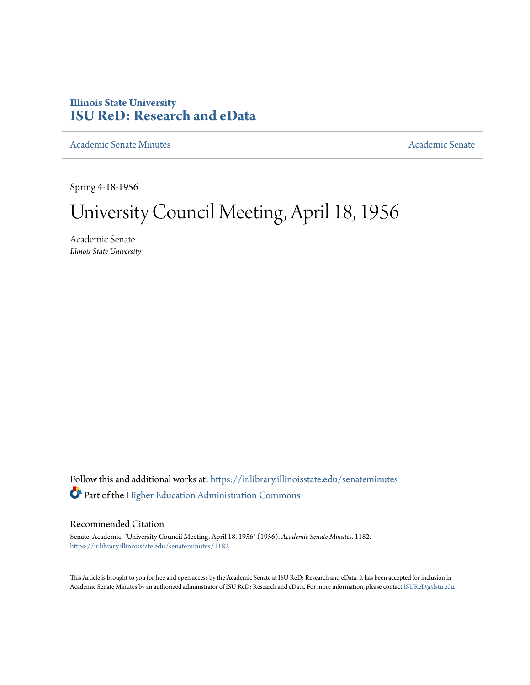## **Illinois State University [ISU ReD: Research and eData](https://ir.library.illinoisstate.edu?utm_source=ir.library.illinoisstate.edu%2Fsenateminutes%2F1182&utm_medium=PDF&utm_campaign=PDFCoverPages)**

[Academic Senate Minutes](https://ir.library.illinoisstate.edu/senateminutes?utm_source=ir.library.illinoisstate.edu%2Fsenateminutes%2F1182&utm_medium=PDF&utm_campaign=PDFCoverPages) [Academic Senate](https://ir.library.illinoisstate.edu/senate?utm_source=ir.library.illinoisstate.edu%2Fsenateminutes%2F1182&utm_medium=PDF&utm_campaign=PDFCoverPages) Academic Senate

Spring 4-18-1956

## University Council Meeting, April 18, 1956

Academic Senate *Illinois State University*

Follow this and additional works at: [https://ir.library.illinoisstate.edu/senateminutes](https://ir.library.illinoisstate.edu/senateminutes?utm_source=ir.library.illinoisstate.edu%2Fsenateminutes%2F1182&utm_medium=PDF&utm_campaign=PDFCoverPages) Part of the [Higher Education Administration Commons](http://network.bepress.com/hgg/discipline/791?utm_source=ir.library.illinoisstate.edu%2Fsenateminutes%2F1182&utm_medium=PDF&utm_campaign=PDFCoverPages)

## Recommended Citation

Senate, Academic, "University Council Meeting, April 18, 1956" (1956). *Academic Senate Minutes*. 1182. [https://ir.library.illinoisstate.edu/senateminutes/1182](https://ir.library.illinoisstate.edu/senateminutes/1182?utm_source=ir.library.illinoisstate.edu%2Fsenateminutes%2F1182&utm_medium=PDF&utm_campaign=PDFCoverPages)

This Article is brought to you for free and open access by the Academic Senate at ISU ReD: Research and eData. It has been accepted for inclusion in Academic Senate Minutes by an authorized administrator of ISU ReD: Research and eData. For more information, please contact [ISUReD@ilstu.edu.](mailto:ISUReD@ilstu.edu)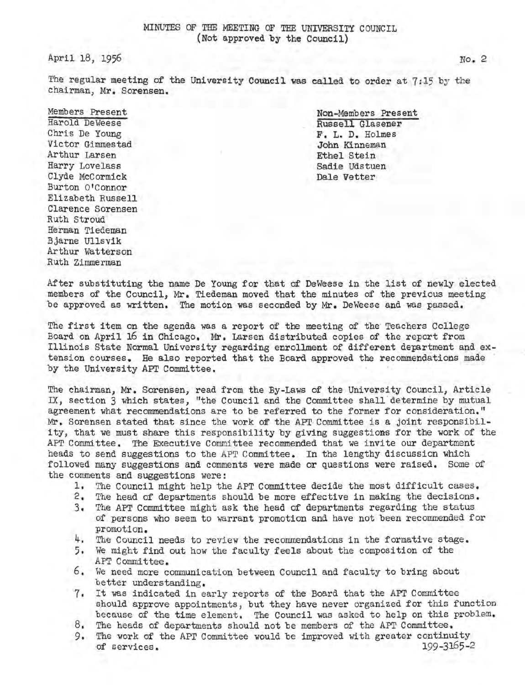April 18, 1956

The regular meeting of the University Council was called to order at 7:15 by the chairman, Mr. Sorensen.

## Members Present

Harold Deweese Chris De Young Victor Gimmestad Arthur Larsen Harry Lovelass Clyde McCormick Burton O'Connor Elizabeth Russell Clarence Sorensen Ruth Stroud Herman Tiedeman Bjarne Ullsvik Arthur Watterson Ruth Zimmerman

Non-Members Present Russell Glasener F, L. D. Holmes John Kinneman Ethel Stein Sadie Udstuen Dale Vetter

After substituting the name De Young for that of Deweese in the list of newly eiected members of the Council, Mr. Tiedeman moved that the minutes of the previous meeting be approved as written. The motion was seconded by Mr. Deweese and was passed.

The first item on the agenda was a report of the meeting of the Teachers College Board on April 16 in Chicago. Mr. Larsen distributed copies of the report from Illinois State Normal University regarding enrollment of different department and extension courses. He also reported that the Board approved the recommendations made by the University APT Committee.

The chairman, Mr. Sorensen, read from the By-Laws of the University Council, Article IX, section 3 which states, "the Council and the Committee shall determine by mutual agreement what recommendations are to be referred to the former for consideration." Mr. Sorensen stated that since the work of the APT-Committee is a joint responsibility, that we must share this responsibility by giving suggestions for the work of the AFT Committee. The Executive Committee recommended that we invite our department heads to send suggestions to the APT Committee. In the lengthy discussion which followed many suggestions and comments were made or questions were raised. Some of the comments and suggestions were:

- l. The Council might help the APT Committee decide the most difficult cases.
- The head of departments should be more effective in making the decisions.
- 3. The APT Committee might ask the head of departments regarding the status of persons who seem to warrant promotion and have not been recommended for promotion.
- 4. The Council needs to review the recommendations in the formative stage.
- 5. We might find out how the faculty feels about the composition of the APT Committee.
- 6. We need more communication between Council and faculty to bring about better understanding.
- 7. It was indicated in early reports of the Board that the API' Committee should approve appointments, but they have never organized for this function because of the time element. The Council was asked to help on this problem.
- 8. The heads of departments should not be members of the APT Committee.
- 9. The work of the APT Committee would be improved with greater continuity of services. 199-3165-2 of services.